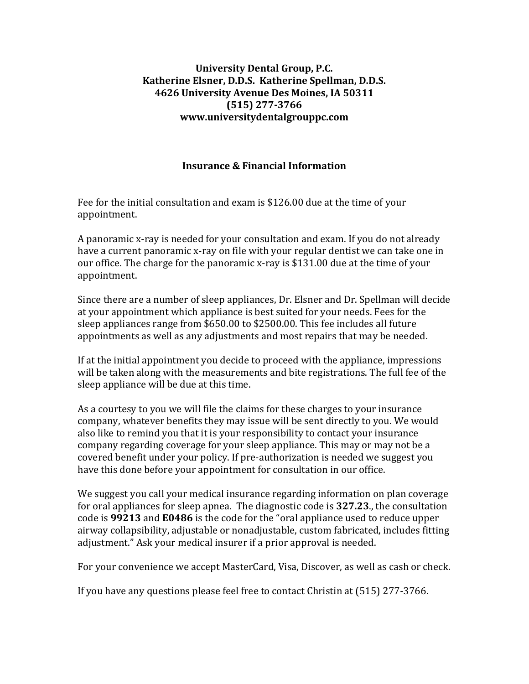## **University Dental Group, P.C. Katherine Elsner, D.D.S. Katherine Spellman, D.D.S. 4626 University Avenue Des Moines, IA 50311 (515) 277-3766 [www.universitydentalgrouppc.com](http://www.universitydentalgrouppc.com/)**

## **Insurance & Financial Information**

Fee for the initial consultation and exam is \$126.00 due at the time of your appointment.

A panoramic x-ray is needed for your consultation and exam. If you do not already have a current panoramic x-ray on file with your regular dentist we can take one in our office. The charge for the panoramic x-ray is \$131.00 due at the time of your appointment.

Since there are a number of sleep appliances, Dr. Elsner and Dr. Spellman will decide at your appointment which appliance is best suited for your needs. Fees for the sleep appliances range from \$650.00 to \$2500.00. This fee includes all future appointments as well as any adjustments and most repairs that may be needed.

If at the initial appointment you decide to proceed with the appliance, impressions will be taken along with the measurements and bite registrations. The full fee of the sleep appliance will be due at this time.

As a courtesy to you we will file the claims for these charges to your insurance company, whatever benefits they may issue will be sent directly to you. We would also like to remind you that it is your responsibility to contact your insurance company regarding coverage for your sleep appliance. This may or may not be a covered benefit under your policy. If pre-authorization is needed we suggest you have this done before your appointment for consultation in our office.

We suggest you call your medical insurance regarding information on plan coverage for oral appliances for sleep apnea. The diagnostic code is **327.23**., the consultation code is **99213** and **E0486** is the code for the "oral appliance used to reduce upper airway collapsibility, adjustable or nonadjustable, custom fabricated, includes fitting adjustment." Ask your medical insurer if a prior approval is needed.

For your convenience we accept MasterCard, Visa, Discover, as well as cash or check.

If you have any questions please feel free to contact Christin at (515) 277-3766.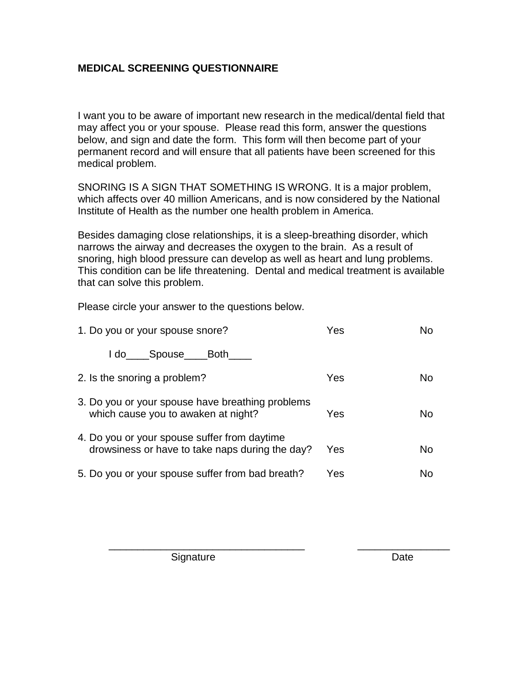## **MEDICAL SCREENING QUESTIONNAIRE**

I want you to be aware of important new research in the medical/dental field that may affect you or your spouse. Please read this form, answer the questions below, and sign and date the form. This form will then become part of your permanent record and will ensure that all patients have been screened for this medical problem.

SNORING IS A SIGN THAT SOMETHING IS WRONG. It is a major problem, which affects over 40 million Americans, and is now considered by the National Institute of Health as the number one health problem in America.

Besides damaging close relationships, it is a sleep-breathing disorder, which narrows the airway and decreases the oxygen to the brain. As a result of snoring, high blood pressure can develop as well as heart and lung problems. This condition can be life threatening. Dental and medical treatment is available that can solve this problem.

Please circle your answer to the questions below.

| 1. Do you or your spouse snore?                                                                 | Yes | No  |
|-------------------------------------------------------------------------------------------------|-----|-----|
| I do Spouse Both                                                                                |     |     |
| 2. Is the snoring a problem?                                                                    | Yes | No  |
| 3. Do you or your spouse have breathing problems<br>which cause you to awaken at night?         | Yes | No. |
| 4. Do you or your spouse suffer from daytime<br>drowsiness or have to take naps during the day? | Yes | No  |
| 5. Do you or your spouse suffer from bad breath?                                                | Yes | No  |

\_\_\_\_\_\_\_\_\_\_\_\_\_\_\_\_\_\_\_\_\_\_\_\_\_\_\_\_\_\_\_\_\_\_ \_\_\_\_\_\_\_\_\_\_\_\_\_\_\_\_

Signature Date Date